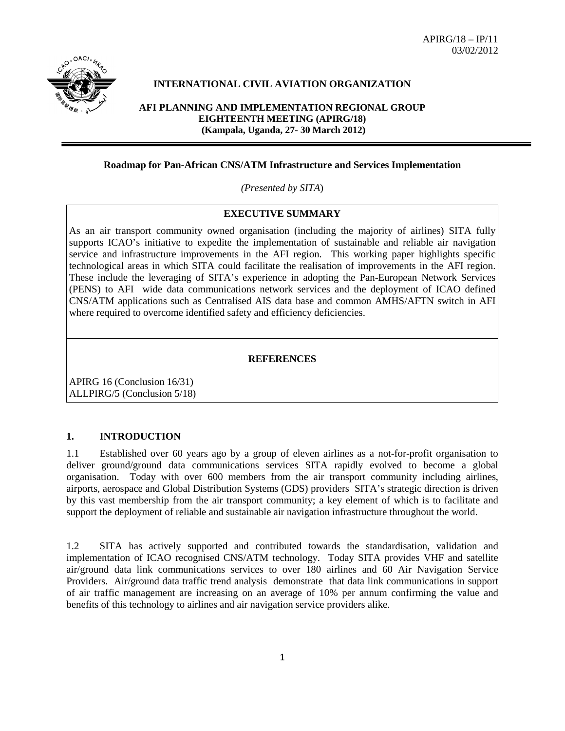

## **INTERNATIONAL CIVIL AVIATION ORGANIZATION**

**AFI PLANNING AND IMPLEMENTATION REGIONAL GROUP EIGHTEENTH MEETING (APIRG/18) (Kampala, Uganda, 27- 30 March 2012)**

## **Roadmap for Pan-African CNS/ATM Infrastructure and Services Implementation**

*(Presented by SITA*)

### **EXECUTIVE SUMMARY**

As an air transport community owned organisation (including the majority of airlines) SITA fully supports ICAO's initiative to expedite the implementation of sustainable and reliable air navigation service and infrastructure improvements in the AFI region. This working paper highlights specific technological areas in which SITA could facilitate the realisation of improvements in the AFI region. These include the leveraging of SITA's experience in adopting the Pan-European Network Services (PENS) to AFI wide data communications network services and the deployment of ICAO defined CNS/ATM applications such as Centralised AIS data base and common AMHS/AFTN switch in AFI where required to overcome identified safety and efficiency deficiencies.

#### **REFERENCES**

APIRG 16 (Conclusion 16/31) ALLPIRG/5 (Conclusion 5/18)

### **1. INTRODUCTION**

1.1 Established over 60 years ago by a group of eleven airlines as a not-for-profit organisation to deliver ground/ground data communications services SITA rapidly evolved to become a global organisation. Today with over 600 members from the air transport community including airlines, airports, aerospace and Global Distribution Systems (GDS) providers SITA's strategic direction is driven by this vast membership from the air transport community; a key element of which is to facilitate and support the deployment of reliable and sustainable air navigation infrastructure throughout the world.

1.2 SITA has actively supported and contributed towards the standardisation, validation and implementation of ICAO recognised CNS/ATM technology. Today SITA provides VHF and satellite air/ground data link communications services to over 180 airlines and 60 Air Navigation Service Providers. Air/ground data traffic trend analysis demonstrate that data link communications in support of air traffic management are increasing on an average of 10% per annum confirming the value and benefits of this technology to airlines and air navigation service providers alike.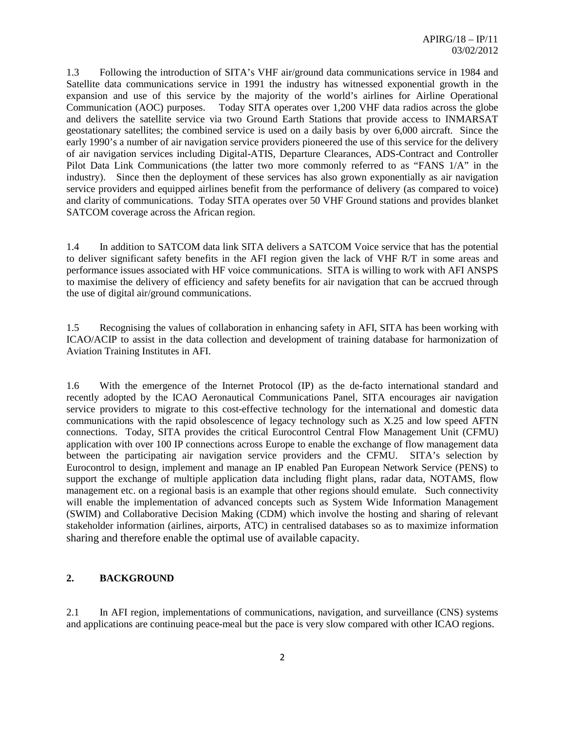1.3 Following the introduction of SITA's VHF air/ground data communications service in 1984 and Satellite data communications service in 1991 the industry has witnessed exponential growth in the expansion and use of this service by the majority of the world's airlines for Airline Operational Communication (AOC) purposes. Today SITA operates over 1,200 VHF data radios across the globe and delivers the satellite service via two Ground Earth Stations that provide access to INMARSAT geostationary satellites; the combined service is used on a daily basis by over 6,000 aircraft. Since the early 1990's a number of air navigation service providers pioneered the use of this service for the delivery of air navigation services including Digital-ATIS, Departure Clearances, ADS-Contract and Controller Pilot Data Link Communications (the latter two more commonly referred to as "FANS 1/A" in the industry). Since then the deployment of these services has also grown exponentially as air navigation service providers and equipped airlines benefit from the performance of delivery (as compared to voice) and clarity of communications. Today SITA operates over 50 VHF Ground stations and provides blanket SATCOM coverage across the African region.

1.4 In addition to SATCOM data link SITA delivers a SATCOM Voice service that has the potential to deliver significant safety benefits in the AFI region given the lack of VHF R/T in some areas and performance issues associated with HF voice communications. SITA is willing to work with AFI ANSPS to maximise the delivery of efficiency and safety benefits for air navigation that can be accrued through the use of digital air/ground communications.

1.5 Recognising the values of collaboration in enhancing safety in AFI, SITA has been working with ICAO/ACIP to assist in the data collection and development of training database for harmonization of Aviation Training Institutes in AFI.

1.6 With the emergence of the Internet Protocol (IP) as the de-facto international standard and recently adopted by the ICAO Aeronautical Communications Panel, SITA encourages air navigation service providers to migrate to this cost-effective technology for the international and domestic data communications with the rapid obsolescence of legacy technology such as X.25 and low speed AFTN connections. Today, SITA provides the critical Eurocontrol Central Flow Management Unit (CFMU) application with over 100 IP connections across Europe to enable the exchange of flow management data between the participating air navigation service providers and the CFMU. SITA's selection by Eurocontrol to design, implement and manage an IP enabled Pan European Network Service (PENS) to support the exchange of multiple application data including flight plans, radar data, NOTAMS, flow management etc. on a regional basis is an example that other regions should emulate. Such connectivity will enable the implementation of advanced concepts such as System Wide Information Management (SWIM) and Collaborative Decision Making (CDM) which involve the hosting and sharing of relevant stakeholder information (airlines, airports, ATC) in centralised databases so as to maximize information sharing and therefore enable the optimal use of available capacity.

## **2. BACKGROUND**

2.1 In AFI region, implementations of communications, navigation, and surveillance (CNS) systems and applications are continuing peace-meal but the pace is very slow compared with other ICAO regions.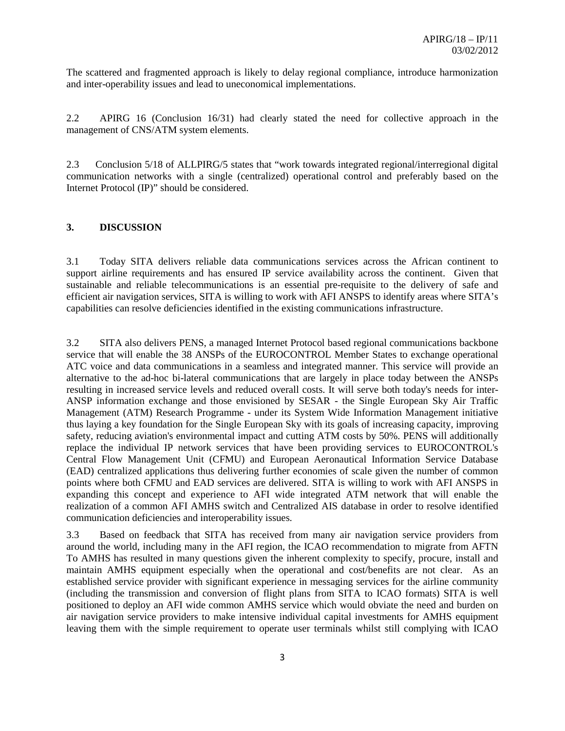The scattered and fragmented approach is likely to delay regional compliance, introduce harmonization and inter-operability issues and lead to uneconomical implementations.

2.2 APIRG 16 (Conclusion 16/31) had clearly stated the need for collective approach in the management of CNS/ATM system elements.

2.3 Conclusion 5/18 of ALLPIRG/5 states that "work towards integrated regional/interregional digital communication networks with a single (centralized) operational control and preferably based on the Internet Protocol (IP)" should be considered.

## **3. DISCUSSION**

3.1 Today SITA delivers reliable data communications services across the African continent to support airline requirements and has ensured IP service availability across the continent. Given that sustainable and reliable telecommunications is an essential pre-requisite to the delivery of safe and efficient air navigation services, SITA is willing to work with AFI ANSPS to identify areas where SITA's capabilities can resolve deficiencies identified in the existing communications infrastructure.

3.2 SITA also delivers PENS, a managed Internet Protocol based regional communications backbone service that will enable the 38 ANSPs of the EUROCONTROL Member States to exchange operational ATC voice and data communications in a seamless and integrated manner. This service will provide an alternative to the ad-hoc bi-lateral communications that are largely in place today between the ANSPs resulting in increased service levels and reduced overall costs. It will serve both today's needs for inter-ANSP information exchange and those envisioned by SESAR - the Single European Sky Air Traffic Management (ATM) Research Programme - under its System Wide Information Management initiative thus laying a key foundation for the Single European Sky with its goals of increasing capacity, improving safety, reducing aviation's environmental impact and cutting ATM costs by 50%. PENS will additionally replace the individual IP network services that have been providing services to EUROCONTROL's Central Flow Management Unit (CFMU) and European Aeronautical Information Service Database (EAD) centralized applications thus delivering further economies of scale given the number of common points where both CFMU and EAD services are delivered. SITA is willing to work with AFI ANSPS in expanding this concept and experience to AFI wide integrated ATM network that will enable the realization of a common AFI AMHS switch and Centralized AIS database in order to resolve identified communication deficiencies and interoperability issues.

3.3 Based on feedback that SITA has received from many air navigation service providers from around the world, including many in the AFI region, the ICAO recommendation to migrate from AFTN To AMHS has resulted in many questions given the inherent complexity to specify, procure, install and maintain AMHS equipment especially when the operational and cost/benefits are not clear. As an established service provider with significant experience in messaging services for the airline community (including the transmission and conversion of flight plans from SITA to ICAO formats) SITA is well positioned to deploy an AFI wide common AMHS service which would obviate the need and burden on air navigation service providers to make intensive individual capital investments for AMHS equipment leaving them with the simple requirement to operate user terminals whilst still complying with ICAO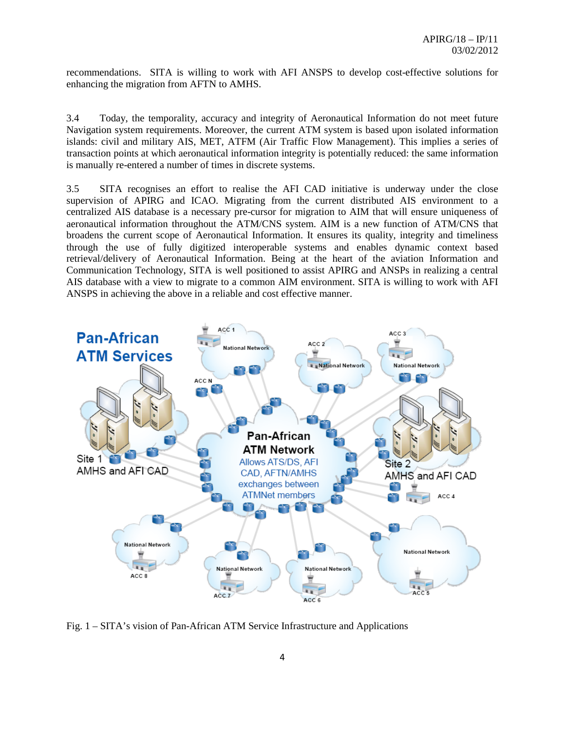recommendations. SITA is willing to work with AFI ANSPS to develop cost-effective solutions for enhancing the migration from AFTN to AMHS.

3.4 Today, the temporality, accuracy and integrity of Aeronautical Information do not meet future Navigation system requirements. Moreover, the current ATM system is based upon isolated information islands: civil and military AIS, MET, ATFM (Air Traffic Flow Management). This implies a series of transaction points at which aeronautical information integrity is potentially reduced: the same information is manually re-entered a number of times in discrete systems.

3.5 SITA recognises an effort to realise the AFI CAD initiative is underway under the close supervision of APIRG and ICAO. Migrating from the current distributed AIS environment to a centralized AIS database is a necessary pre-cursor for migration to AIM that will ensure uniqueness of aeronautical information throughout the ATM/CNS system. AIM is a new function of ATM/CNS that broadens the current scope of Aeronautical Information. It ensures its quality, integrity and timeliness through the use of fully digitized interoperable systems and enables dynamic context based retrieval/delivery of Aeronautical Information. Being at the heart of the aviation Information and Communication Technology, SITA is well positioned to assist APIRG and ANSPs in realizing a central AIS database with a view to migrate to a common AIM environment. SITA is willing to work with AFI ANSPS in achieving the above in a reliable and cost effective manner.



Fig. 1 – SITA's vision of Pan-African ATM Service Infrastructure and Applications